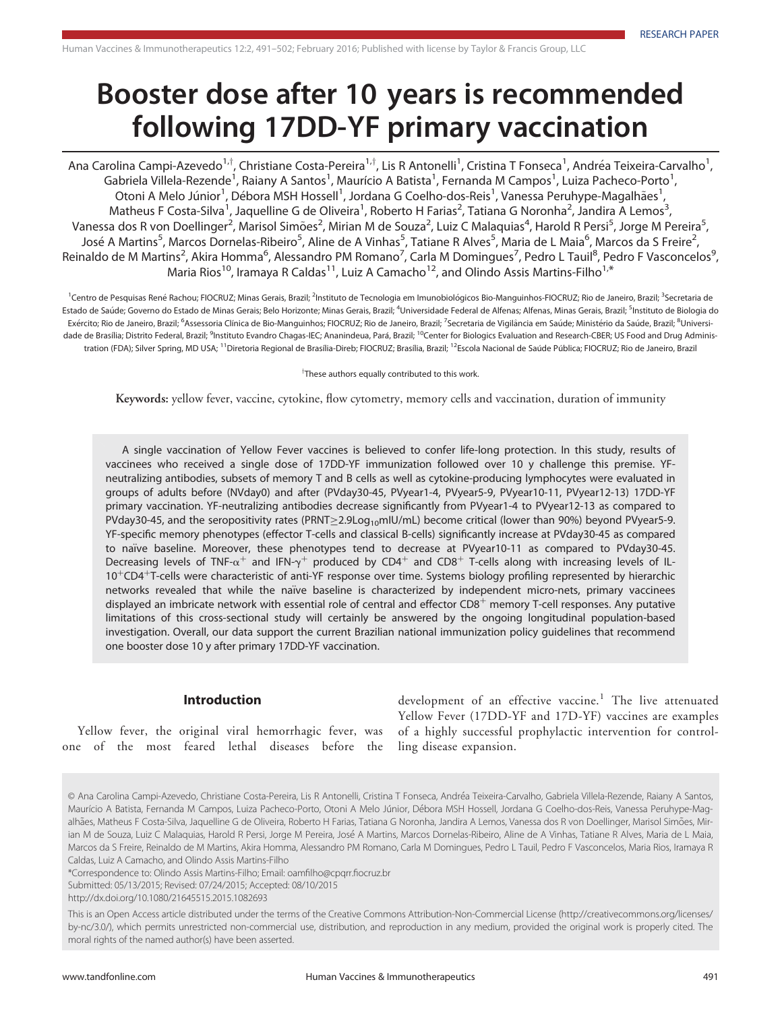# Booster dose after 10 years is recommended following 17DD-YF primary vaccination

Ana Carolina Campi-Azevedo<sup>1,†</sup>, Christiane Costa-Pereira<sup>1,†</sup>, Lis R Antonelli<sup>1</sup>, Cristina T Fonseca<sup>1</sup>, Andréa Teixeira-Carvalho<sup>1</sup> , Gabriela Villela-Rezende<sup>1</sup>, Raiany A Santos<sup>1</sup>, Maurício A Batista<sup>1</sup>, Fernanda M Campos<sup>1</sup>, Luiza Pacheco-Porto<sup>1</sup> , Otoni A Melo Júnior<sup>1</sup>, Débora MSH Hossell<sup>1</sup>, Jordana G Coelho-dos-Reis<sup>1</sup>, Vanessa Peruhype-Magalhães<sup>1</sup> , Matheus F Costa-Silva<sup>1</sup>, Jaquelline G de Oliveira<sup>1</sup>, Roberto H Farias<sup>2</sup>, Tatiana G Noronha<sup>2</sup>, Jandira A Lemos<sup>3</sup> , Vanessa dos R von Doellinger<sup>2</sup>, Marisol Simões<sup>2</sup>, Mirian M de Souza<sup>2</sup>, Luiz C Malaquias<sup>4</sup>, Harold R Persi<sup>5</sup>, Jorge M Pereira<sup>5</sup> , José A Martins<sup>5</sup>, Marcos Dornelas-Ribeiro<sup>5</sup>, Aline de A Vinhas<sup>5</sup>, Tatiane R Alves<sup>5</sup>, Maria de L Maia<sup>6</sup>, Marcos da S Freire<sup>2</sup> , Reinaldo de M Martins<sup>2</sup>, Akira Homma<sup>6</sup>, Alessandro PM Romano<sup>7</sup>, Carla M Domingues<sup>7</sup>, Pedro L Tauil<sup>8</sup>, Pedro F Vasconcelos<sup>9</sup> , Maria Rios<sup>10</sup>, Iramaya R Caldas<sup>11</sup>, Luiz A Camacho<sup>12</sup>, and Olindo Assis Martins-Filho<sup>1,\*</sup>

<sup>1</sup>Centro de Pesquisas René Rachou; FIOCRUZ; Minas Gerais, Brazil; <sup>2</sup>Instituto de Tecnologia em Imunobiológicos Bio-Manguinhos-FIOCRUZ; Rio de Janeiro, Brazil; <sup>3</sup>Secretaria de Estado de Saúde; Governo do Estado de Minas Gerais; Belo Horizonte; Minas Gerais, Brazil; <sup>4</sup>Universidade Federal de Alfenas; Alfenas, Minas Gerais, Brazil; <sup>5</sup>Instituto de Biologia do Exército; Rio de Janeiro, Brazil; <sup>6</sup>Assessoria Clínica de Bio-Manguinhos; FIOCRUZ; Rio de Janeiro, Brazil; <sup>7</sup>Secretaria de Vigilância em Saúde; Ministério da Saúde, Brazil; <sup>8</sup>Universidade de Brasília; Distrito Federal, Brazil; <sup>9</sup>Instituto Evandro Chagas-IEC; Ananindeua, Pará, Brazil; <sup>10</sup>Center for Biologics Evaluation and Research-CBER; US Food and Drug Administration (FDA); Silver Spring, MD USA; <sup>11</sup>Diretoria Regional de Brasília-Direb; FIOCRUZ; Brasília, Brazil; <sup>12</sup>Escola Nacional de Saúde Pública; FIOCRUZ; Rio de Janeiro, Brazil

<sup>T</sup>These authors equally contributed to this work.

Keywords: yellow fever, vaccine, cytokine, flow cytometry, memory cells and vaccination, duration of immunity

A single vaccination of Yellow Fever vaccines is believed to confer life-long protection. In this study, results of vaccinees who received a single dose of 17DD-YF immunization followed over 10 y challenge this premise. YFneutralizing antibodies, subsets of memory T and B cells as well as cytokine-producing lymphocytes were evaluated in groups of adults before (NVday0) and after (PVday30-45, PVyear1-4, PVyear5-9, PVyear10-11, PVyear12-13) 17DD-YF primary vaccination. YF-neutralizing antibodies decrease significantly from PVyear1-4 to PVyear12-13 as compared to PVday30-45, and the seropositivity rates (PRNT>2.9Log<sub>10</sub>mIU/mL) become critical (lower than 90%) beyond PVyear5-9. YF-specific memory phenotypes (effector T-cells and classical B-cells) significantly increase at PVday30-45 as compared to naïve baseline. Moreover, these phenotypes tend to decrease at PVyear10-11 as compared to PVday30-45. Decreasing levels of TNF- $\alpha^+$  and IFN- $\gamma^+$  produced by CD4<sup>+</sup> and CD8<sup>+</sup> T-cells along with increasing levels of IL-10<sup>+</sup>CD4<sup>+</sup>T-cells were characteristic of anti-YF response over time. Systems biology profiling represented by hierarchic networks revealed that while the naïve baseline is characterized by independent micro-nets, primary vaccinees displayed an imbricate network with essential role of central and effector CD8<sup>+</sup> memory T-cell responses. Any putative limitations of this cross-sectional study will certainly be answered by the ongoing longitudinal population-based investigation. Overall, our data support the current Brazilian national immunization policy guidelines that recommend one booster dose 10 y after primary 17DD-YF vaccination.

## Introduction

Yellow fever, the original viral hemorrhagic fever, was one of the most feared lethal diseases before the

development of an effective vaccine.<sup>1</sup> The live attenuated Yellow Fever (17DD-YF and 17D-YF) vaccines are examples of a highly successful prophylactic intervention for controlling disease expansion.

© Ana Carolina Campi-Azevedo, Christiane Costa-Pereira, Lis R Antonelli, Cristina T Fonseca, Andrea Teixeira-Carvalho, Gabriela Villela-Rezende, Raiany A Santos, Maurício A Batista, Fernanda M Campos, Luiza Pacheco-Porto, Otoni A Melo Júnior, Débora MSH Hossell, Jordana G Coelho-dos-Reis, Vanessa Peruhype-Maqalhães, Matheus F Costa-Silva, Jaquelline G de Oliveira, Roberto H Farias, Tatiana G Noronha, Jandira A Lemos, Vanessa dos R von Doellinger, Marisol Simões, Mirian M de Souza, Luiz C Malaquias, Harold R Persi, Jorge M Pereira, José A Martins, Marcos Dornelas-Ribeiro, Aline de A Vinhas, Tatiane R Alves, Maria de L Maia, Marcos da S Freire, Reinaldo de M Martins, Akira Homma, Alessandro PM Romano, Carla M Domingues, Pedro L Tauil, Pedro F Vasconcelos, Maria Rios, Iramaya R Caldas, Luiz A Camacho, and Olindo Assis Martins-Filho

\*Correspondence to: Olindo Assis Martins-Filho; Email: oamfilho@cpqrr.fiocruz.br

Submitted: 05/13/2015; Revised: 07/24/2015; Accepted: 08/10/2015

http://dx.doi.org/10.1080/21645515.2015.1082693

This is an Open Access article distributed under the terms of the Creative Commons Attribution-Non-Commercial License ([http://creativecommons.org/licenses/](http://creativecommons.org/licenses/by-nc/3.0/) [by-nc/3.0/\), which permits unrestricted non-commercial use, distribution, and reproduction in any medium, provided the original work is properly](http://creativecommons.org/licenses/by-nc/3.0/) cited. The [moral rights of the named author\(s\) have been asserted.](http://creativecommons.org/licenses/by-nc/3.0/)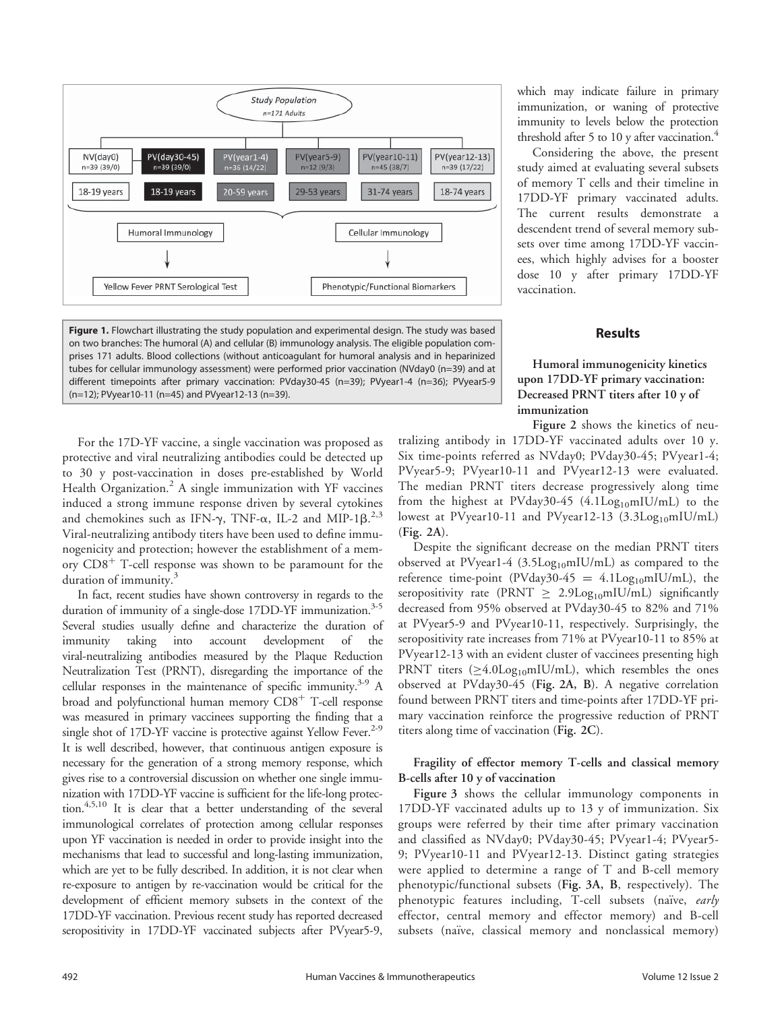

Figure 1. Flowchart illustrating the study population and experimental design. The study was based on two branches: The humoral (A) and cellular (B) immunology analysis. The eligible population comprises 171 adults. Blood collections (without anticoagulant for humoral analysis and in heparinized tubes for cellular immunology assessment) were performed prior vaccination (NVday0 (n=39) and at different timepoints after primary vaccination: PVday30-45 (n=39); PVyear1-4 (n=36); PVyear5-9 (n=12); PVyear10-11 (n=45) and PVyear12-13 (n=39).

For the 17D-YF vaccine, a single vaccination was proposed as protective and viral neutralizing antibodies could be detected up to 30 y post-vaccination in doses pre-established by World Health Organization.<sup>2</sup> A single immunization with YF vaccines induced a strong immune response driven by several cytokines and chemokines such as IFN- $\gamma$ , TNF- $\alpha$ , IL-2 and MIP-1 $\beta$ .<sup>2,3</sup><br>Viral-peutralizing aptibody titers have been used to define immu-Viral-neutralizing antibody titers have been used to define immunogenicity and protection; however the establishment of a memory  $CD8<sup>+</sup>$  T-cell response was shown to be paramount for the duration of immunity.<sup>3</sup>

In fact, recent studies have shown controversy in regards to the duration of immunity of a single-dose 17DD-YF immunization.<sup>3-5</sup> Several studies usually define and characterize the duration of immunity taking into account development of the viral-neutralizing antibodies measured by the Plaque Reduction Neutralization Test (PRNT), disregarding the importance of the cellular responses in the maintenance of specific immunity.<sup>3-9</sup> A broad and polyfunctional human memory  $CDS<sup>+</sup>$  T-cell response was measured in primary vaccinees supporting the finding that a single shot of 17D-YF vaccine is protective against Yellow Fever.<sup>2-9</sup> It is well described, however, that continuous antigen exposure is necessary for the generation of a strong memory response, which gives rise to a controversial discussion on whether one single immunization with 17DD-YF vaccine is sufficient for the life-long protection.4,5,10 It is clear that a better understanding of the several immunological correlates of protection among cellular responses upon YF vaccination is needed in order to provide insight into the mechanisms that lead to successful and long-lasting immunization, which are yet to be fully described. In addition, it is not clear when re-exposure to antigen by re-vaccination would be critical for the development of efficient memory subsets in the context of the 17DD-YF vaccination. Previous recent study has reported decreased seropositivity in 17DD-YF vaccinated subjects after PVyear5-9,

which may indicate failure in primary immunization, or waning of protective immunity to levels below the protection threshold after 5 to 10 y after vaccination. $4$ 

Considering the above, the present study aimed at evaluating several subsets of memory T cells and their timeline in 17DD-YF primary vaccinated adults. The current results demonstrate a descendent trend of several memory subsets over time among 17DD-YF vaccinees, which highly advises for a booster dose 10 y after primary 17DD-YF vaccination.

## Results

# Humoral immunogenicity kinetics upon 17DD-YF primary vaccination: Decreased PRNT titers after 10 y of immunization

Figure 2 shows the kinetics of neutralizing antibody in 17DD-YF vaccinated adults over 10 y. Six time-points referred as NVday0; PVday30-45; PVyear1-4; PVyear5-9; PVyear10-11 and PVyear12-13 were evaluated. The median PRNT titers decrease progressively along time from the highest at PVday30-45  $(4.1 \text{Log}_{10} \text{mIU/mL})$  to the lowest at PVyear10-11 and PVyear12-13  $(3.3Log_{10}mIU/mL)$ (Fig. 2A).

Despite the significant decrease on the median PRNT titers observed at PVyear1-4 (3.5Log<sub>10</sub>mIU/mL) as compared to the reference time-point (PVday30-45 =  $4.1$ Log<sub>10</sub>mIU/mL), the seropositivity rate (PRNT  $\geq$  2.9Log<sub>10</sub>mIU/mL) significantly decreased from 95% observed at PVday30-45 to 82% and 71% at PVyear5-9 and PVyear10-11, respectively. Surprisingly, the seropositivity rate increases from 71% at PVyear10-11 to 85% at PVyear12-13 with an evident cluster of vaccinees presenting high PRNT titers  $(\geq 4.0$ Log<sub>10</sub>mIU/mL), which resembles the ones observed at PVday30-45 (Fig. 2A, B). A negative correlation found between PRNT titers and time-points after 17DD-YF primary vaccination reinforce the progressive reduction of PRNT titers along time of vaccination (Fig. 2C).

# Fragility of effector memory T-cells and classical memory B-cells after 10 y of vaccination

Figure 3 shows the cellular immunology components in 17DD-YF vaccinated adults up to 13 y of immunization. Six groups were referred by their time after primary vaccination and classified as NVday0; PVday30-45; PVyear1-4; PVyear5- 9; PVyear10-11 and PVyear12-13. Distinct gating strategies were applied to determine a range of T and B-cell memory phenotypic/functional subsets (Fig. 3A, B, respectively). The phenotypic features including, T-cell subsets (naïve, early effector, central memory and effector memory) and B-cell subsets (naïve, classical memory and nonclassical memory)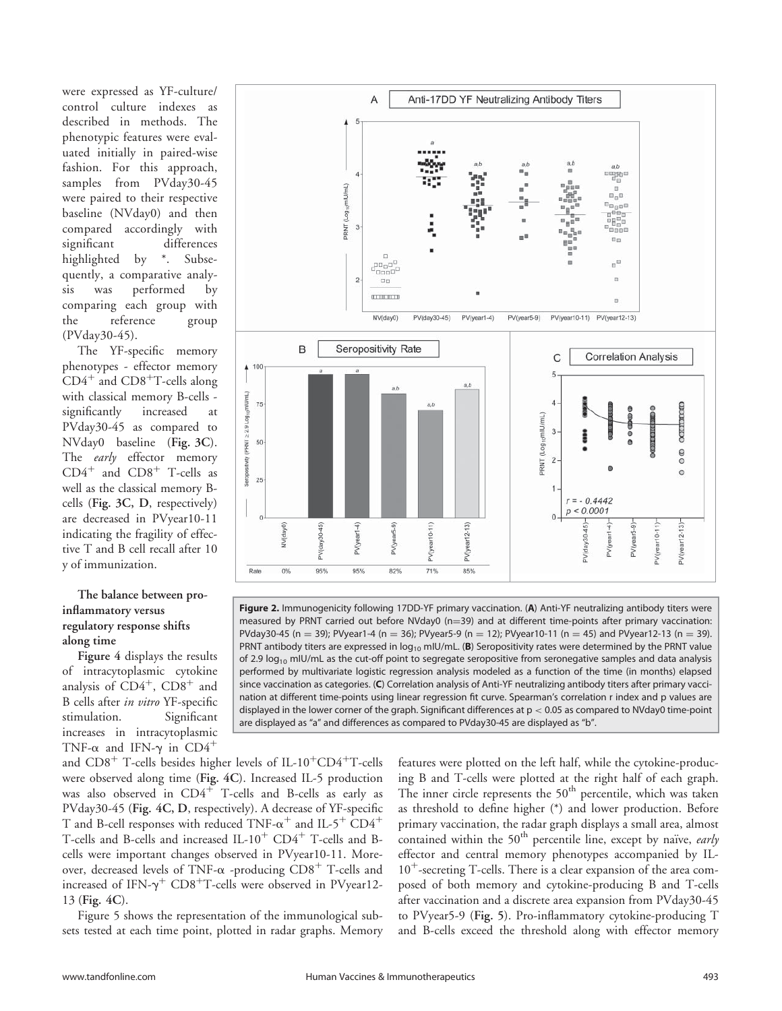were expressed as YF-culture/ control culture indexes as described in methods. The phenotypic features were evaluated initially in paired-wise fashion. For this approach, samples from PVday30-45 were paired to their respective baseline (NVday0) and then compared accordingly with significant differences highlighted by \*. Subsequently, a comparative analysis was performed by comparing each group with the reference group (PVday30-45).

The YF-specific memory phenotypes - effector memory  $CD4^+$  and  $CD8^+$ T-cells along with classical memory B-cells significantly increased at PVday30-45 as compared to NVday0 baseline (Fig. 3C). The early effector memory  $CD4^+$  and  $CD8^+$  T-cells as well as the classical memory Bcells (Fig. 3C, D, respectively) are decreased in PVyear10-11 indicating the fragility of effective T and B cell recall after 10 y of immunization.

# The balance between proinflammatory versus regulatory response shifts along time

Figure 4 displays the results of intracytoplasmic cytokine analysis of  $CD4^+$ ,  $CD8^+$  and B cells after *in vitro* YF-specific<br>stimulation. Significant stimulation. increases in intracytoplasmic TNF- $\alpha$  and IFN- $\gamma$  in CD4<sup>+</sup>



Figure 2. Immunogenicity following 17DD-YF primary vaccination. (A) Anti-YF neutralizing antibody titers were measured by PRNT carried out before NVday0 ( $n=39$ ) and at different time-points after primary vaccination: PVday30-45 (n = 39); PVyear1-4 (n = 36); PVyear5-9 (n = 12); PVyear10-11 (n = 45) and PVyear12-13 (n = 39). PRNT antibody titers are expressed in  $log_{10}$  mIU/mL. (B) Seropositivity rates were determined by the PRNT value of 2.9  $log_{10}$  mIU/mL as the cut-off point to segregate seropositive from seronegative samples and data analysis performed by multivariate logistic regression analysis modeled as a function of the time (in months) elapsed since vaccination as categories. (C) Correlation analysis of Anti-YF neutralizing antibody titers after primary vaccination at different time-points using linear regression fit curve. Spearman's correlation r index and p values are displayed in the lower corner of the graph. Significant differences at  $p < 0.05$  as compared to NVday0 time-point are displayed as "a" and differences as compared to PVday30-45 are displayed as "b".

and  $CD8<sup>+</sup>$  T-cells besides higher levels of IL-10<sup>+</sup>CD4<sup>+</sup>T-cells were observed along time (Fig. 4C). Increased IL-5 production was also observed in  $CD4^+$  T-cells and B-cells as early as PVday30-45 (Fig. 4C, D, respectively). A decrease of YF-specific T and B-cell responses with reduced TNF- $\alpha^+$  and IL-5<sup>+</sup> CD4<sup>+</sup> T-cells and B-cells and increased IL- $10^+$  CD4<sup>+</sup> T-cells and Bcells were important changes observed in PVyear10-11. Moreover, decreased levels of TNF- $\alpha$  -producing CD8<sup>+</sup> T-cells and increased of IFN- $\gamma^+$  CD8<sup>+</sup>T-cells were observed in PVyear12-13 (Fig. 4C).

Figure 5 shows the representation of the immunological subsets tested at each time point, plotted in radar graphs. Memory

features were plotted on the left half, while the cytokine-producing B and T-cells were plotted at the right half of each graph. The inner circle represents the  $50<sup>th</sup>$  percentile, which was taken as threshold to define higher (\*) and lower production. Before primary vaccination, the radar graph displays a small area, almost contained within the  $50<sup>th</sup>$  percentile line, except by naïve, early effector and central memory phenotypes accompanied by IL- $10^{+}$ -secreting T-cells. There is a clear expansion of the area composed of both memory and cytokine-producing B and T-cells after vaccination and a discrete area expansion from PVday30-45 to PVyear5-9 (Fig. 5). Pro-inflammatory cytokine-producing T and B-cells exceed the threshold along with effector memory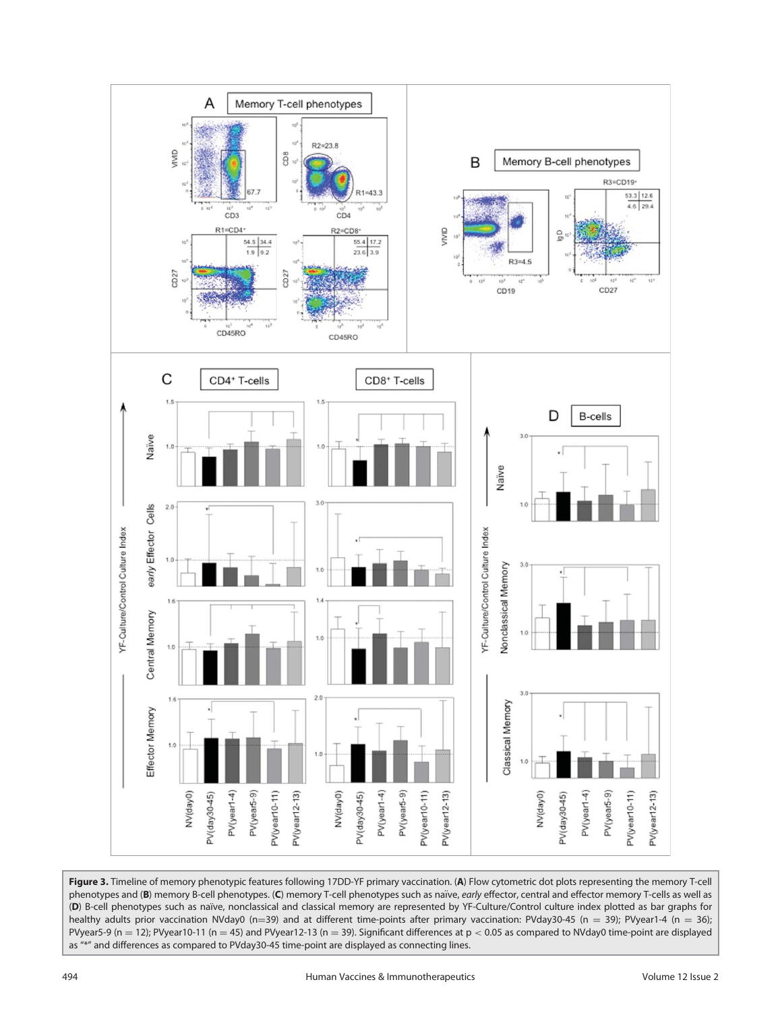

Figure 3. Timeline of memory phenotypic features following 17DD-YF primary vaccination. (A) Flow cytometric dot plots representing the memory T-cell phenotypes and (B) memory B-cell phenotypes. (C) memory T-cell phenotypes such as naïve, early effector, central and effector memory T-cells as well as (D) B-cell phenotypes such as naïve, nonclassical and classical memory are represented by YF-Culture/Control culture index plotted as bar graphs for healthy adults prior vaccination NVday0 (n=39) and at different time-points after primary vaccination: PVday30-45 (n = 39); PVyear1-4 (n = 36); PVyear5-9 (n = 12); PVyear10-11 (n = 45) and PVyear12-13 (n = 39). Significant differences at  $p < 0.05$  as compared to NVday0 time-point are displayed as "\*" and differences as compared to PVday30-45 time-point are displayed as connecting lines.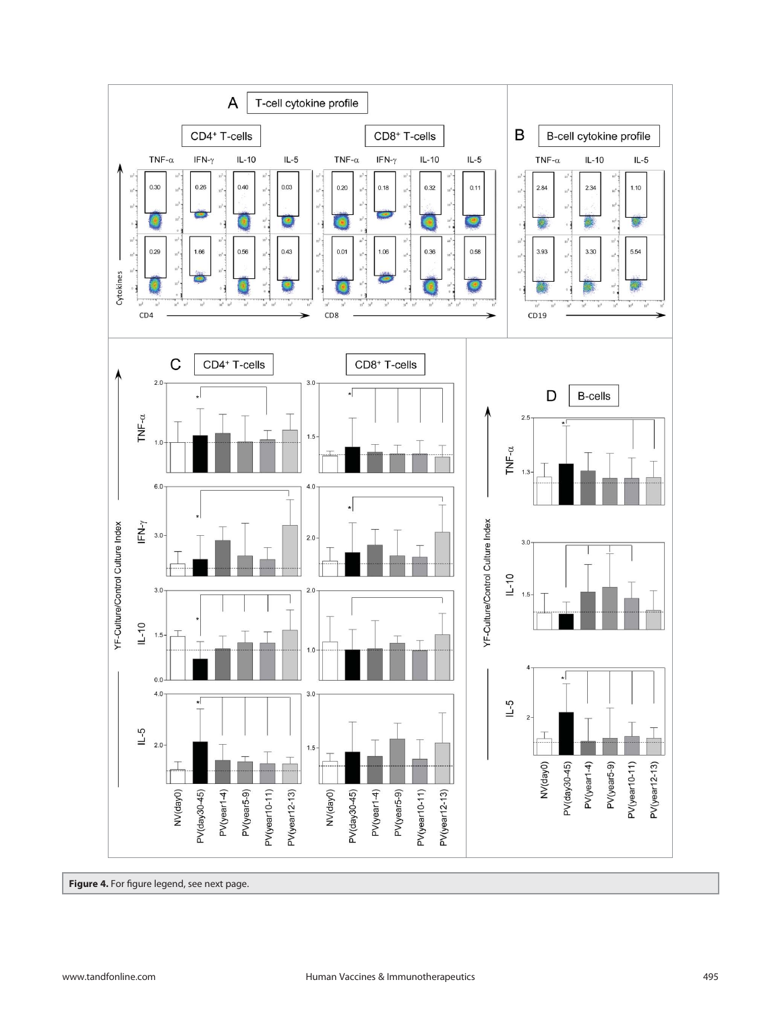

Figure 4. For figure legend, see next page.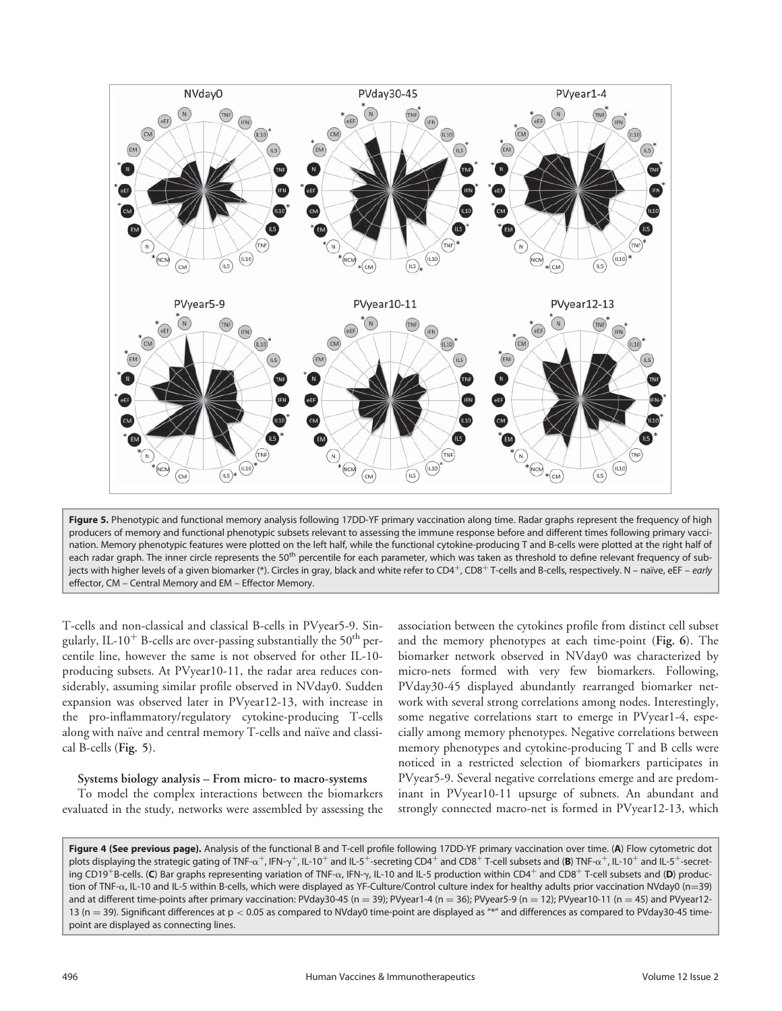

Figure 5. Phenotypic and functional memory analysis following 17DD-YF primary vaccination along time. Radar graphs represent the frequency of high producers of memory and functional phenotypic subsets relevant to assessing the immune response before and different times following primary vaccination. Memory phenotypic features were plotted on the left half, while the functional cytokine-producing T and B-cells were plotted at the right half of each radar graph. The inner circle represents the 50<sup>th</sup> percentile for each parameter, which was taken as threshold to define relevant frequency of subjects with higher levels of a given biomarker (\*). Circles in gray, black and white refer to CD4<sup>+</sup>, CD8<sup>+</sup> T-cells and B-cells, respectively. N – naïve, eEF – early effector, CM – Central Memory and EM – Effector Memory.

T-cells and non-classical and classical B-cells in PVyear5-9. Singularly, IL-10 $^+$  B-cells are over-passing substantially the 50 $^{\rm th}$  percentile line, however the same is not observed for other IL-10 producing subsets. At PVyear10-11, the radar area reduces considerably, assuming similar profile observed in NVday0. Sudden expansion was observed later in PVyear12-13, with increase in the pro-inflammatory/regulatory cytokine-producing T-cells along with naïve and central memory T-cells and naïve and classical B-cells (Fig. 5).

## Systems biology analysis – From micro- to macro-systems

To model the complex interactions between the biomarkers evaluated in the study, networks were assembled by assessing the

association between the cytokines profile from distinct cell subset and the memory phenotypes at each time-point (Fig. 6). The biomarker network observed in NVday0 was characterized by micro-nets formed with very few biomarkers. Following, PVday30-45 displayed abundantly rearranged biomarker network with several strong correlations among nodes. Interestingly, some negative correlations start to emerge in PVyear1-4, especially among memory phenotypes. Negative correlations between memory phenotypes and cytokine-producing T and B cells were noticed in a restricted selection of biomarkers participates in PVyear5-9. Several negative correlations emerge and are predominant in PVyear10-11 upsurge of subnets. An abundant and strongly connected macro-net is formed in PVyear12-13, which

Figure 4 (See previous page). Analysis of the functional B and T-cell profile following 17DD-YF primary vaccination over time. (A) Flow cytometric dot plots displaying the strategic gating of TNF- $\alpha^+$ , IFN- $\gamma^+$ , IL-10<sup>+</sup> and IL-5<sup>+</sup>-secreting CD4<sup>+</sup> and CD8<sup>+</sup> T-cell subsets and (**B**) TNF- $\alpha^+$ , IL-10<sup>+</sup> and IL-5<sup>+</sup>-secreting CD19<sup>+</sup>B-cells. (C) Bar graphs representing variation of TNF- $\alpha$ , IFN- $\gamma$ , IL-10 and IL-5 production within CD4<sup>+</sup> and CD8<sup>+</sup> T-cell subsets and (D) production of TNF- $\alpha$ , IL-10 and IL-5 within B-cells, which were displayed as YF-Culture/Control culture index for healthy adults prior vaccination NVday0 (n=39) and at different time-points after primary vaccination: PVday30-45 (n = 39); PVyear1-4 (n = 36); PVyear5-9 (n = 12); PVyear10-11 (n = 45) and PVyear12-13 (n = 39). Significant differences at  $p < 0.05$  as compared to NVday0 time-point are displayed as "\*" and differences as compared to PVday30-45 timepoint are displayed as connecting lines.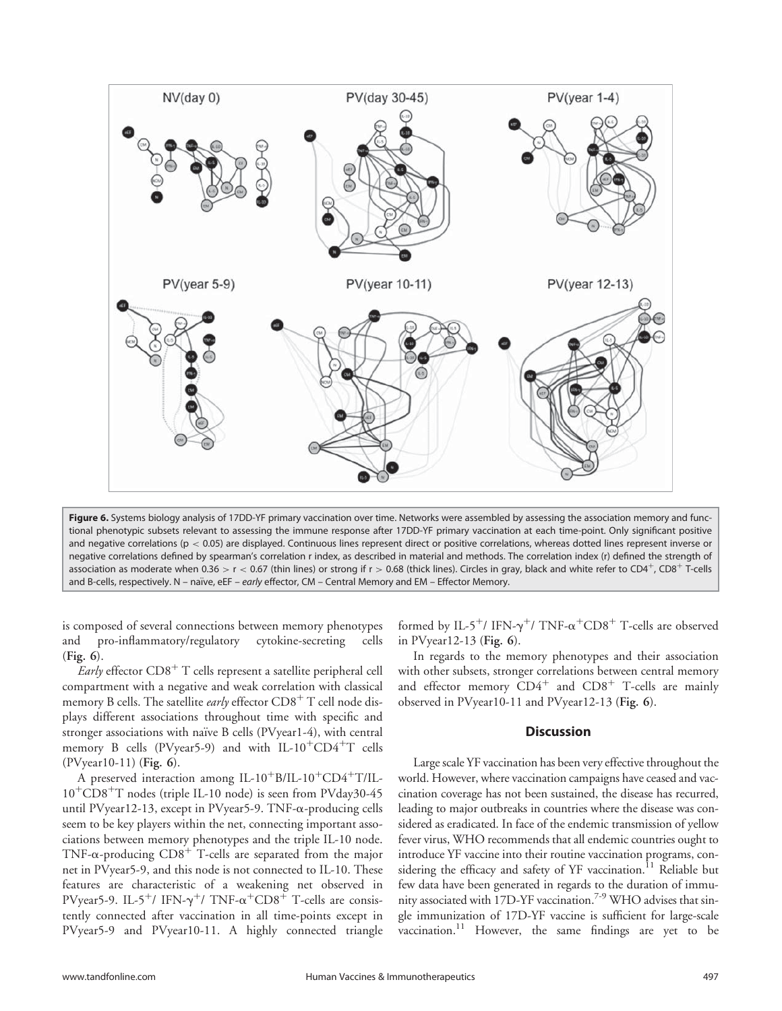

Figure 6. Systems biology analysis of 17DD-YF primary vaccination over time. Networks were assembled by assessing the association memory and functional phenotypic subsets relevant to assessing the immune response after 17DD-YF primary vaccination at each time-point. Only significant positive and negative correlations ( $p < 0.05$ ) are displayed. Continuous lines represent direct or positive correlations, whereas dotted lines represent inverse or negative correlations defined by spearman's correlation r index, as described in material and methods. The correlation index (r) defined the strength of association as moderate when 0.36 > r < 0.67 (thin lines) or strong if r > 0.68 (thick lines). Circles in gray, black and white refer to CD4<sup>+</sup>, CD8<sup>+</sup> T-cells and B-cells, respectively. N – naïve, eEF – early effector, CM – Central Memory and EM – Effector Memory.

is composed of several connections between memory phenotypes and pro-inflammatory/regulatory cytokine-secreting cells (Fig. 6).

*Early* effector  $CD8<sup>+</sup>$  T cells represent a satellite peripheral cell compartment with a negative and weak correlation with classical memory B cells. The satellite early effector CD8<sup>+</sup> T cell node displays different associations throughout time with specific and stronger associations with naïve B cells (PVyear1-4), with central memory B cells (PVyear5-9) and with IL-10<sup>+</sup>CD4<sup>+</sup>T cells (PVyear10-11) (Fig. 6).

A preserved interaction among IL-10<sup>+</sup>B/IL-10<sup>+</sup>CD4<sup>+</sup>T/IL- $10^{+}CD8^{+}T$  nodes (triple IL-10 node) is seen from PVday30-45 until PVyear12-13, except in PVyear5-9. TNF-a-producing cells seem to be key players within the net, connecting important associations between memory phenotypes and the triple IL-10 node. TNF- $\alpha$ -producing CD8<sup>+</sup> T-cells are separated from the major net in PVyear5-9, and this node is not connected to IL-10. These features are characteristic of a weakening net observed in PVyear5-9. IL-5<sup>+</sup>/ IFN- $\gamma$ <sup>+</sup>/ TNF- $\alpha$ <sup>+</sup>CD8<sup>+</sup> T-cells are consistently connected after vaccination in all time-points except in PVyear5-9 and PVyear10-11. A highly connected triangle

formed by IL-5<sup>+</sup>/ IFN- $\gamma^+$ / TNF- $\alpha^+$ CD8<sup>+</sup> T-cells are observed in PVyear12-13 (Fig. 6).

In regards to the memory phenotypes and their association with other subsets, stronger correlations between central memory and effector memory  $CD4^+$  and  $CD8^+$  T-cells are mainly observed in PVyear10-11 and PVyear12-13 (Fig. 6).

# **Discussion**

Large scale YF vaccination has been very effective throughout the world. However, where vaccination campaigns have ceased and vaccination coverage has not been sustained, the disease has recurred, leading to major outbreaks in countries where the disease was considered as eradicated. In face of the endemic transmission of yellow fever virus, WHO recommends that all endemic countries ought to introduce YF vaccine into their routine vaccination programs, considering the efficacy and safety of YF vaccination.<sup>11</sup> Reliable but few data have been generated in regards to the duration of immunity associated with 17D-YF vaccination.<sup>7-9</sup> WHO advises that single immunization of 17D-YF vaccine is sufficient for large-scale vaccination.<sup>11</sup> However, the same findings are yet to be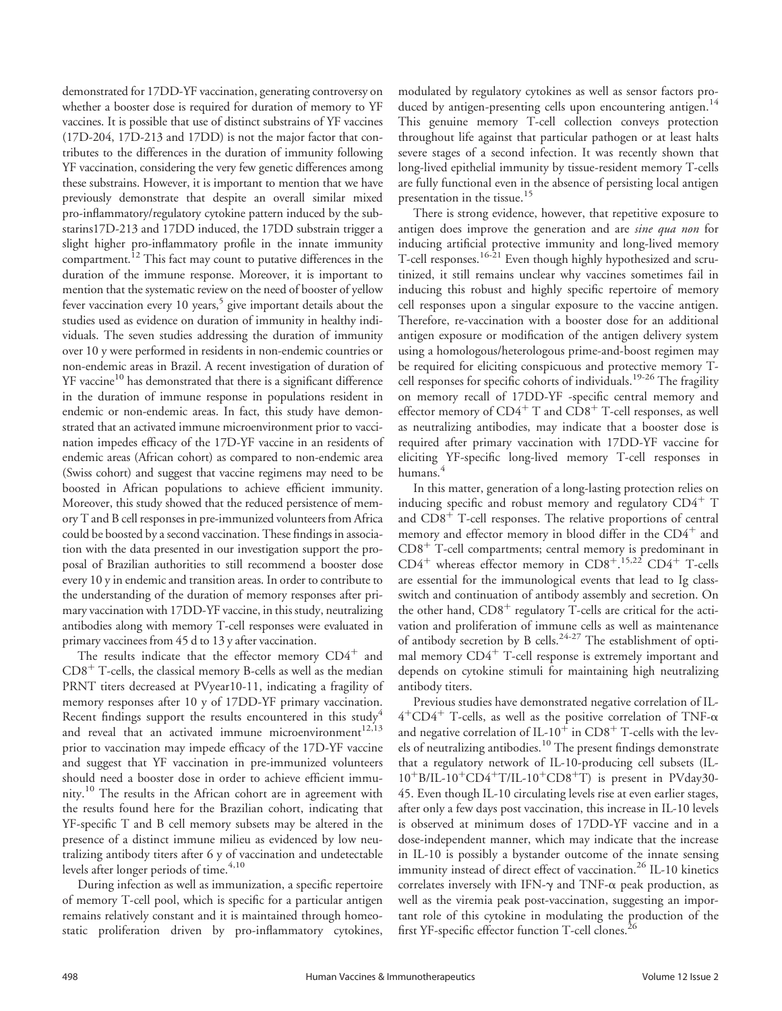demonstrated for 17DD-YF vaccination, generating controversy on whether a booster dose is required for duration of memory to YF vaccines. It is possible that use of distinct substrains of YF vaccines (17D-204, 17D-213 and 17DD) is not the major factor that contributes to the differences in the duration of immunity following YF vaccination, considering the very few genetic differences among these substrains. However, it is important to mention that we have previously demonstrate that despite an overall similar mixed pro-inflammatory/regulatory cytokine pattern induced by the substarins17D-213 and 17DD induced, the 17DD substrain trigger a slight higher pro-inflammatory profile in the innate immunity compartment.<sup>12</sup> This fact may count to putative differences in the duration of the immune response. Moreover, it is important to mention that the systematic review on the need of booster of yellow fever vaccination every 10 years, $5$  give important details about the studies used as evidence on duration of immunity in healthy individuals. The seven studies addressing the duration of immunity over 10 y were performed in residents in non-endemic countries or non-endemic areas in Brazil. A recent investigation of duration of YF vaccine<sup>10</sup> has demonstrated that there is a significant difference in the duration of immune response in populations resident in endemic or non-endemic areas. In fact, this study have demonstrated that an activated immune microenvironment prior to vaccination impedes efficacy of the 17D-YF vaccine in an residents of endemic areas (African cohort) as compared to non-endemic area (Swiss cohort) and suggest that vaccine regimens may need to be boosted in African populations to achieve efficient immunity. Moreover, this study showed that the reduced persistence of memory T and B cell responses in pre-immunized volunteers from Africa could be boosted by a second vaccination. These findings in association with the data presented in our investigation support the proposal of Brazilian authorities to still recommend a booster dose every 10 y in endemic and transition areas. In order to contribute to the understanding of the duration of memory responses after primary vaccination with 17DD-YF vaccine, in this study, neutralizing antibodies along with memory T-cell responses were evaluated in primary vaccinees from 45 d to 13 y after vaccination.

The results indicate that the effector memory  $CD4^+$  and  $CD8<sup>+</sup>$  T-cells, the classical memory B-cells as well as the median PRNT titers decreased at PVyear10-11, indicating a fragility of memory responses after 10 y of 17DD-YF primary vaccination. Recent findings support the results encountered in this study<sup>4</sup> and reveal that an activated immune microenvironment<sup>12,13</sup> prior to vaccination may impede efficacy of the 17D-YF vaccine and suggest that YF vaccination in pre-immunized volunteers should need a booster dose in order to achieve efficient immunity.<sup>10</sup> The results in the African cohort are in agreement with the results found here for the Brazilian cohort, indicating that YF-specific T and B cell memory subsets may be altered in the presence of a distinct immune milieu as evidenced by low neutralizing antibody titers after 6 y of vaccination and undetectable levels after longer periods of time.<sup>4,10</sup>

During infection as well as immunization, a specific repertoire of memory T-cell pool, which is specific for a particular antigen remains relatively constant and it is maintained through homeostatic proliferation driven by pro-inflammatory cytokines,

modulated by regulatory cytokines as well as sensor factors produced by antigen-presenting cells upon encountering antigen.<sup>14</sup> This genuine memory T-cell collection conveys protection throughout life against that particular pathogen or at least halts severe stages of a second infection. It was recently shown that long-lived epithelial immunity by tissue-resident memory T-cells are fully functional even in the absence of persisting local antigen presentation in the tissue.<sup>15</sup>

There is strong evidence, however, that repetitive exposure to antigen does improve the generation and are *sine qua non* for inducing artificial protective immunity and long-lived memory T-cell responses.<sup>16-21</sup> Even though highly hypothesized and scrutinized, it still remains unclear why vaccines sometimes fail in inducing this robust and highly specific repertoire of memory cell responses upon a singular exposure to the vaccine antigen. Therefore, re-vaccination with a booster dose for an additional antigen exposure or modification of the antigen delivery system using a homologous/heterologous prime-and-boost regimen may be required for eliciting conspicuous and protective memory Tcell responses for specific cohorts of individuals.<sup>19-26</sup> The fragility on memory recall of 17DD-YF -specific central memory and effector memory of  $CD4^+$  T and  $CD8^+$  T-cell responses, as well as neutralizing antibodies, may indicate that a booster dose is required after primary vaccination with 17DD-YF vaccine for eliciting YF-specific long-lived memory T-cell responses in humans.<sup>4</sup>

In this matter, generation of a long-lasting protection relies on inducing specific and robust memory and regulatory  $CD4^+$  T and  $CD8<sup>+</sup>$  T-cell responses. The relative proportions of central memory and effector memory in blood differ in the  $CD4^+$  and  $CD8<sup>+</sup>$  T-cell compartments; central memory is predominant in  $CD4^+$  whereas effector memory in  $CD8^{+.15,22}$   $CD4^+$  T-cells are essential for the immunological events that lead to Ig classswitch and continuation of antibody assembly and secretion. On the other hand,  $CD8<sup>+</sup>$  regulatory T-cells are critical for the activation and proliferation of immune cells as well as maintenance of antibody secretion by B cells.<sup>24-27</sup> The establishment of optimal memory  $CD4^+$  T-cell response is extremely important and depends on cytokine stimuli for maintaining high neutralizing antibody titers.

Previous studies have demonstrated negative correlation of IL- $4^+$ CD4<sup>+</sup> T-cells, as well as the positive correlation of TNF- $\alpha$ and negative correlation of IL-10<sup>+</sup> in CD8<sup>+</sup> T-cells with the levels of neutralizing antibodies.<sup>10</sup> The present findings demonstrate that a regulatory network of IL-10-producing cell subsets (IL- $10^{+}B/IL-10^{+}CD4^{+}T/IL-10^{+}CD8^{+}T$ ) is present in PVday30-45. Even though IL-10 circulating levels rise at even earlier stages, after only a few days post vaccination, this increase in IL-10 levels is observed at minimum doses of 17DD-YF vaccine and in a dose-independent manner, which may indicate that the increase in IL-10 is possibly a bystander outcome of the innate sensing immunity instead of direct effect of vaccination.<sup>26</sup> IL-10 kinetics correlates inversely with IFN- $\gamma$  and TNF- $\alpha$  peak production, as well as the viremia peak post-vaccination, suggesting an important role of this cytokine in modulating the production of the first YF-specific effector function T-cell clones.<sup>26</sup>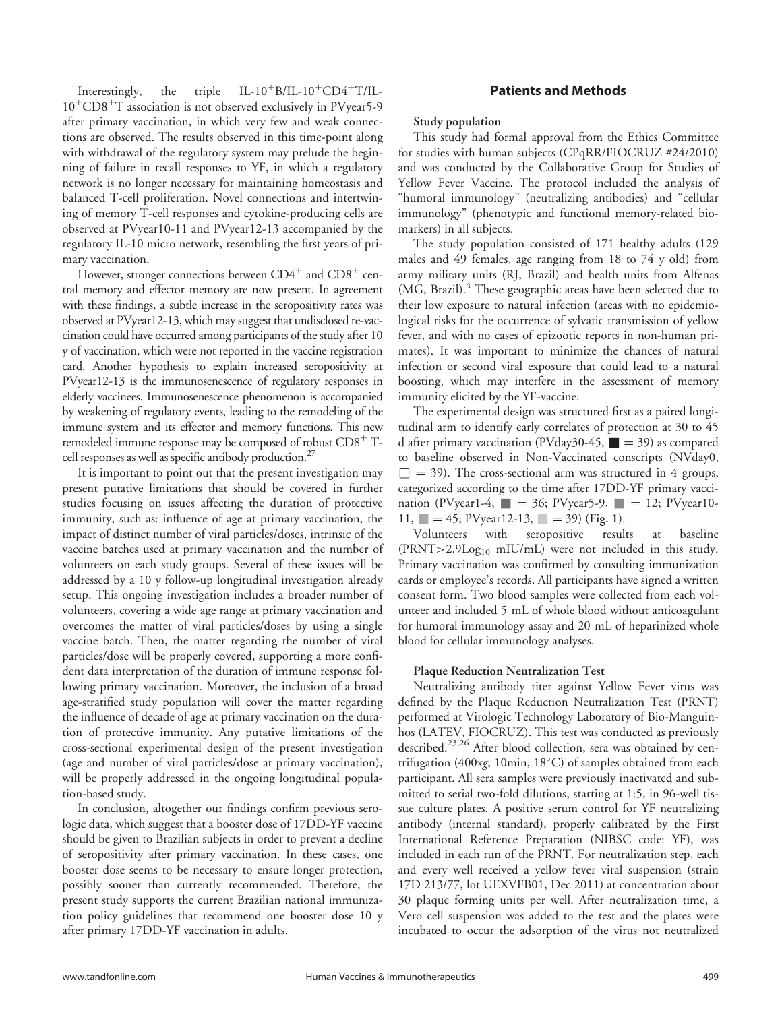Interestingly, the triple  $IL-10^{+}B/IL-10^{+}CD4^{+}T/IL 10^{+}CD8^{+}T$  association is not observed exclusively in PVyear5-9 after primary vaccination, in which very few and weak connections are observed. The results observed in this time-point along with withdrawal of the regulatory system may prelude the beginning of failure in recall responses to YF, in which a regulatory network is no longer necessary for maintaining homeostasis and balanced T-cell proliferation. Novel connections and intertwining of memory T-cell responses and cytokine-producing cells are observed at PVyear10-11 and PVyear12-13 accompanied by the regulatory IL-10 micro network, resembling the first years of primary vaccination.

However, stronger connections between  $CD4^+$  and  $CD8^+$  central memory and effector memory are now present. In agreement with these findings, a subtle increase in the seropositivity rates was observed at PVyear12-13, which may suggest that undisclosed re-vaccination could have occurred among participants of the study after 10 y of vaccination, which were not reported in the vaccine registration card. Another hypothesis to explain increased seropositivity at PVyear12-13 is the immunosenescence of regulatory responses in elderly vaccinees. Immunosenescence phenomenon is accompanied by weakening of regulatory events, leading to the remodeling of the immune system and its effector and memory functions. This new remodeled immune response may be composed of robust  $CD8^+$  Tcell responses as well as specific antibody production.<sup>27</sup>

It is important to point out that the present investigation may present putative limitations that should be covered in further studies focusing on issues affecting the duration of protective immunity, such as: influence of age at primary vaccination, the impact of distinct number of viral particles/doses, intrinsic of the vaccine batches used at primary vaccination and the number of volunteers on each study groups. Several of these issues will be addressed by a 10 y follow-up longitudinal investigation already setup. This ongoing investigation includes a broader number of volunteers, covering a wide age range at primary vaccination and overcomes the matter of viral particles/doses by using a single vaccine batch. Then, the matter regarding the number of viral particles/dose will be properly covered, supporting a more confident data interpretation of the duration of immune response following primary vaccination. Moreover, the inclusion of a broad age-stratified study population will cover the matter regarding the influence of decade of age at primary vaccination on the duration of protective immunity. Any putative limitations of the cross-sectional experimental design of the present investigation (age and number of viral particles/dose at primary vaccination), will be properly addressed in the ongoing longitudinal population-based study.

In conclusion, altogether our findings confirm previous serologic data, which suggest that a booster dose of 17DD-YF vaccine should be given to Brazilian subjects in order to prevent a decline of seropositivity after primary vaccination. In these cases, one booster dose seems to be necessary to ensure longer protection, possibly sooner than currently recommended. Therefore, the present study supports the current Brazilian national immunization policy guidelines that recommend one booster dose 10 y after primary 17DD-YF vaccination in adults.

# Patients and Methods

## Study population

This study had formal approval from the Ethics Committee for studies with human subjects (CPqRR/FIOCRUZ #24/2010) and was conducted by the Collaborative Group for Studies of Yellow Fever Vaccine. The protocol included the analysis of "humoral immunology" (neutralizing antibodies) and "cellular immunology" (phenotypic and functional memory-related biomarkers) in all subjects.

The study population consisted of 171 healthy adults (129 males and 49 females, age ranging from 18 to 74 y old) from army military units (RJ, Brazil) and health units from Alfenas (MG, Brazil).<sup>4</sup> These geographic areas have been selected due to their low exposure to natural infection (areas with no epidemiological risks for the occurrence of sylvatic transmission of yellow fever, and with no cases of epizootic reports in non-human primates). It was important to minimize the chances of natural infection or second viral exposure that could lead to a natural boosting, which may interfere in the assessment of memory immunity elicited by the YF-vaccine.

The experimental design was structured first as a paired longitudinal arm to identify early correlates of protection at 30 to 45 d after primary vaccination (PVday30-45,  $\blacksquare$  = 39) as compared to baseline observed in Non-Vaccinated conscripts (NVday0,  $\Box$  = 39). The cross-sectional arm was structured in 4 groups, categorized according to the time after 17DD-YF primary vaccination (PVyear1-4,  $\blacksquare = 36$ ; PVyear5-9,  $\blacksquare = 12$ ; PVyear10-11,  $= 45$ ; PVyear12-13,  $= 39$ ) (Fig. 1).<br>Volunteers with seropositive results

Volunteers with seropositive results at baseline (PRNT>2.9Log<sub>10</sub> mIU/mL) were not included in this study. Primary vaccination was confirmed by consulting immunization cards or employee's records. All participants have signed a written consent form. Two blood samples were collected from each volunteer and included 5 mL of whole blood without anticoagulant for humoral immunology assay and 20 mL of heparinized whole blood for cellular immunology analyses.

## Plaque Reduction Neutralization Test

Neutralizing antibody titer against Yellow Fever virus was defined by the Plaque Reduction Neutralization Test (PRNT) performed at Virologic Technology Laboratory of Bio-Manguinhos (LATEV, FIOCRUZ). This test was conducted as previously described.<sup>23,26</sup> After blood collection, sera was obtained by centrifugation (400xg, 10min, 18-C) of samples obtained from each participant. All sera samples were previously inactivated and submitted to serial two-fold dilutions, starting at 1:5, in 96-well tissue culture plates. A positive serum control for YF neutralizing antibody (internal standard), properly calibrated by the First International Reference Preparation (NIBSC code: YF), was included in each run of the PRNT. For neutralization step, each and every well received a yellow fever viral suspension (strain 17D 213/77, lot UEXVFB01, Dec 2011) at concentration about 30 plaque forming units per well. After neutralization time, a Vero cell suspension was added to the test and the plates were incubated to occur the adsorption of the virus not neutralized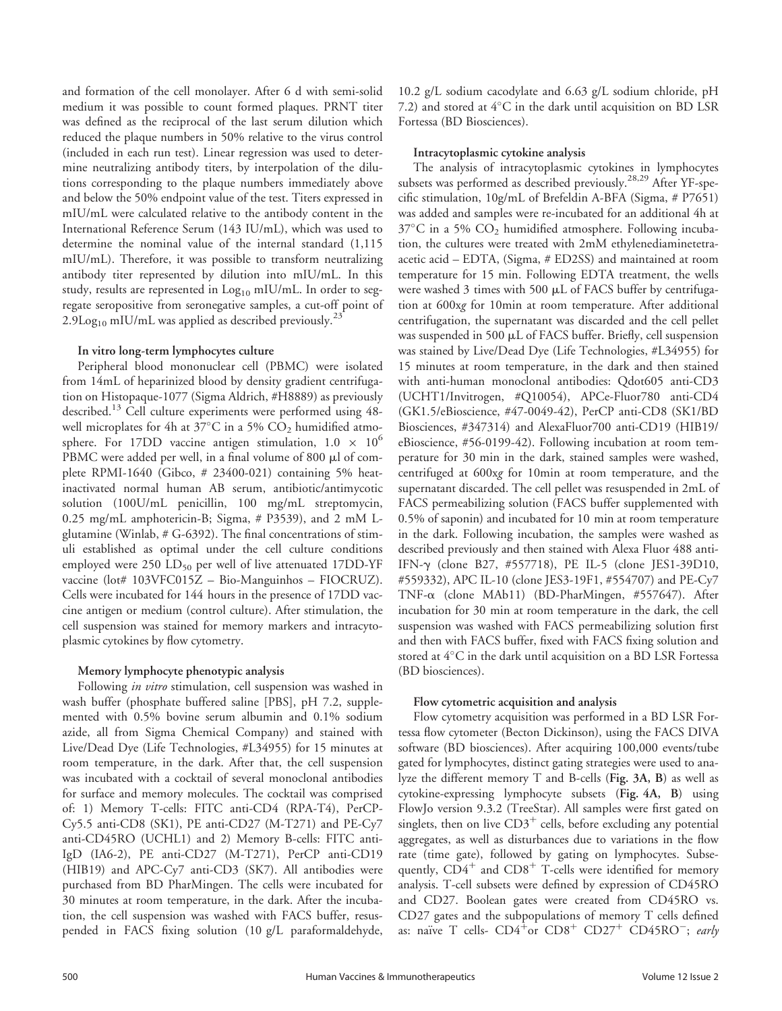and formation of the cell monolayer. After 6 d with semi-solid medium it was possible to count formed plaques. PRNT titer was defined as the reciprocal of the last serum dilution which reduced the plaque numbers in 50% relative to the virus control (included in each run test). Linear regression was used to determine neutralizing antibody titers, by interpolation of the dilutions corresponding to the plaque numbers immediately above and below the 50% endpoint value of the test. Titers expressed in mIU/mL were calculated relative to the antibody content in the International Reference Serum (143 IU/mL), which was used to determine the nominal value of the internal standard (1,115 mIU/mL). Therefore, it was possible to transform neutralizing antibody titer represented by dilution into mIU/mL. In this study, results are represented in Log<sub>10</sub> mIU/mL. In order to segregate seropositive from seronegative samples, a cut-off point of 2.9Log<sub>10</sub> mIU/mL was applied as described previously.<sup>25</sup>

# In vitro long-term lymphocytes culture

Peripheral blood mononuclear cell (PBMC) were isolated from 14mL of heparinized blood by density gradient centrifugation on Histopaque-1077 (Sigma Aldrich, #H8889) as previously described.<sup>13</sup> Cell culture experiments were performed using 48well microplates for 4h at 37°C in a 5%  $\rm CO_2$  humidified atmosphere. For 17DD vaccine antigen stimulation,  $1.0 \times 10^6$ PBMC were added per well, in a final volume of 800  $\mu$ l of complete RPMI-1640 (Gibco, # 23400-021) containing 5% heatinactivated normal human AB serum, antibiotic/antimycotic solution (100U/mL penicillin, 100 mg/mL streptomycin, 0.25 mg/mL amphotericin-B; Sigma, # P3539), and 2 mM Lglutamine (Winlab, # G-6392). The final concentrations of stimuli established as optimal under the cell culture conditions employed were 250  $LD_{50}$  per well of live attenuated 17DD-YF vaccine (lot# 103VFC015Z – Bio-Manguinhos – FIOCRUZ). Cells were incubated for 144 hours in the presence of 17DD vaccine antigen or medium (control culture). After stimulation, the cell suspension was stained for memory markers and intracytoplasmic cytokines by flow cytometry.

# Memory lymphocyte phenotypic analysis

Following *in vitro* stimulation, cell suspension was washed in wash buffer (phosphate buffered saline [PBS], pH 7.2, supplemented with 0.5% bovine serum albumin and 0.1% sodium azide, all from Sigma Chemical Company) and stained with Live/Dead Dye (Life Technologies, #L34955) for 15 minutes at room temperature, in the dark. After that, the cell suspension was incubated with a cocktail of several monoclonal antibodies for surface and memory molecules. The cocktail was comprised of: 1) Memory T-cells: FITC anti-CD4 (RPA-T4), PerCP-Cy5.5 anti-CD8 (SK1), PE anti-CD27 (M-T271) and PE-Cy7 anti-CD45RO (UCHL1) and 2) Memory B-cells: FITC anti-IgD (IA6-2), PE anti-CD27 (M-T271), PerCP anti-CD19 (HIB19) and APC-Cy7 anti-CD3 (SK7). All antibodies were purchased from BD PharMingen. The cells were incubated for 30 minutes at room temperature, in the dark. After the incubation, the cell suspension was washed with FACS buffer, resuspended in FACS fixing solution (10 g/L paraformaldehyde, 10.2 g/L sodium cacodylate and 6.63 g/L sodium chloride, pH 7.2) and stored at  $4^{\circ}\mathrm{C}$  in the dark until acquisition on BD LSR Fortessa (BD Biosciences).

# Intracytoplasmic cytokine analysis

The analysis of intracytoplasmic cytokines in lymphocytes subsets was performed as described previously.28,29 After YF-specific stimulation, 10g/mL of Brefeldin A-BFA (Sigma, # P7651) was added and samples were re-incubated for an additional 4h at  $37^{\circ}$ C in a 5% CO<sub>2</sub> humidified atmosphere. Following incubation, the cultures were treated with 2mM ethylenediaminetetraacetic acid – EDTA, (Sigma, # ED2SS) and maintained at room temperature for 15 min. Following EDTA treatment, the wells were washed  $3$  times with  $500 \mu L$  of FACS buffer by centrifugation at 600xg for 10min at room temperature. After additional centrifugation, the supernatant was discarded and the cell pellet was suspended in 500 µL of FACS buffer. Briefly, cell suspension was stained by Live/Dead Dye (Life Technologies, #L34955) for 15 minutes at room temperature, in the dark and then stained with anti-human monoclonal antibodies: Qdot605 anti-CD3 (UCHT1/Invitrogen, #Q10054), APCe-Fluor780 anti-CD4 (GK1.5/eBioscience, #47-0049-42), PerCP anti-CD8 (SK1/BD Biosciences, #347314) and AlexaFluor700 anti-CD19 (HIB19/ eBioscience, #56-0199-42). Following incubation at room temperature for 30 min in the dark, stained samples were washed, centrifuged at 600xg for 10min at room temperature, and the supernatant discarded. The cell pellet was resuspended in 2mL of FACS permeabilizing solution (FACS buffer supplemented with 0.5% of saponin) and incubated for 10 min at room temperature in the dark. Following incubation, the samples were washed as described previously and then stained with Alexa Fluor 488 anti-IFN-g (clone B27, #557718), PE IL-5 (clone JES1-39D10, #559332), APC IL-10 (clone JES3-19F1, #554707) and PE-Cy7 TNF-a (clone MAb11) (BD-PharMingen, #557647). After incubation for 30 min at room temperature in the dark, the cell suspension was washed with FACS permeabilizing solution first and then with FACS buffer, fixed with FACS fixing solution and stored at  $4^{\circ}\mathrm{C}$  in the dark until acquisition on a BD LSR Fortessa (BD biosciences).

# Flow cytometric acquisition and analysis

Flow cytometry acquisition was performed in a BD LSR Fortessa flow cytometer (Becton Dickinson), using the FACS DIVA software (BD biosciences). After acquiring 100,000 events/tube gated for lymphocytes, distinct gating strategies were used to analyze the different memory T and B-cells (Fig. 3A, B) as well as cytokine-expressing lymphocyte subsets (Fig. 4A, B) using FlowJo version 9.3.2 (TreeStar). All samples were first gated on singlets, then on live  $CD3^+$  cells, before excluding any potential aggregates, as well as disturbances due to variations in the flow rate (time gate), followed by gating on lymphocytes. Subsequently,  $CD4^+$  and  $CD8^+$  T-cells were identified for memory analysis. T-cell subsets were defined by expression of CD45RO and CD27. Boolean gates were created from CD45RO vs. CD27 gates and the subpopulations of memory T cells defined as: naïve T cells-  $CD4^+$ or  $CD8^+$   $CD27^+$   $CD45RO^-$ ; early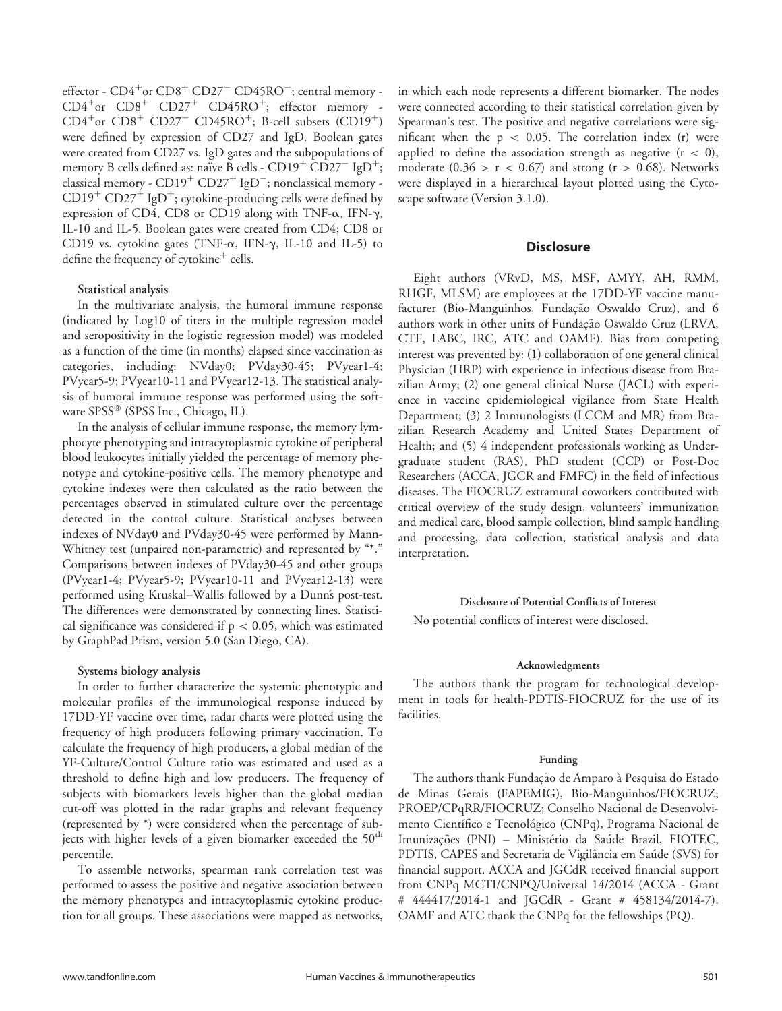effector -  $CD4^+$ or  $CD8^+$   $CD27^ CD45RO^-$ ; central memory - $CD4<sup>+</sup>$ or  $CD8<sup>+</sup>$   $CD27<sup>+</sup>$   $CD45RO<sup>+</sup>;$  effector memory - $CD4<sup>+</sup>$ or  $CD8<sup>+</sup>$   $CD27$ <sup>-</sup>  $CD45RO<sup>+</sup>$ ; B-cell subsets  $(CD19<sup>+</sup>)$ were defined by expression of CD27 and IgD. Boolean gates were created from CD27 vs. IgD gates and the subpopulations of memory B cells defined as: naïve B cells -  $CD19<sup>+</sup>CD27<sup>-</sup>$  IgD<sup>+</sup>; classical memory -  $CD19^+$   $CD27^+$  IgD<sup>-</sup>; nonclassical memory - $CD19^+$   $CD27^+$  IgD<sup>+</sup>; cytokine-producing cells were defined by expression of CD4, CD8 or CD19 along with TNF- $\alpha$ , IFN- $\gamma$ , IL-10 and IL-5. Boolean gates were created from CD4; CD8 or CD19 vs. cytokine gates (TNF- $\alpha$ , IFN- $\gamma$ , IL-10 and IL-5) to define the frequency of cytokine $^+$  cells.

## Statistical analysis

In the multivariate analysis, the humoral immune response (indicated by Log10 of titers in the multiple regression model and seropositivity in the logistic regression model) was modeled as a function of the time (in months) elapsed since vaccination as categories, including: NVday0; PVday30-45; PVyear1-4; PVyear5-9; PVyear10-11 and PVyear12-13. The statistical analysis of humoral immune response was performed using the software SPSS<sup>®</sup> (SPSS Inc., Chicago, IL).

In the analysis of cellular immune response, the memory lymphocyte phenotyping and intracytoplasmic cytokine of peripheral blood leukocytes initially yielded the percentage of memory phenotype and cytokine-positive cells. The memory phenotype and cytokine indexes were then calculated as the ratio between the percentages observed in stimulated culture over the percentage detected in the control culture. Statistical analyses between indexes of NVday0 and PVday30-45 were performed by Mann-Whitney test (unpaired non-parametric) and represented by "\*." Comparisons between indexes of PVday30-45 and other groups (PVyear1-4; PVyear5-9; PVyear10-11 and PVyear12-13) were performed using Kruskal–Wallis followed by a Dunns post-test. The differences were demonstrated by connecting lines. Statistical significance was considered if  $p < 0.05$ , which was estimated by GraphPad Prism, version 5.0 (San Diego, CA).

#### Systems biology analysis

In order to further characterize the systemic phenotypic and molecular profiles of the immunological response induced by 17DD-YF vaccine over time, radar charts were plotted using the frequency of high producers following primary vaccination. To calculate the frequency of high producers, a global median of the YF-Culture/Control Culture ratio was estimated and used as a threshold to define high and low producers. The frequency of subjects with biomarkers levels higher than the global median cut-off was plotted in the radar graphs and relevant frequency (represented by \*) were considered when the percentage of subjects with higher levels of a given biomarker exceeded the 50<sup>th</sup> percentile.

To assemble networks, spearman rank correlation test was performed to assess the positive and negative association between the memory phenotypes and intracytoplasmic cytokine production for all groups. These associations were mapped as networks, in which each node represents a different biomarker. The nodes were connected according to their statistical correlation given by Spearman's test. The positive and negative correlations were significant when the  $p < 0.05$ . The correlation index (r) were applied to define the association strength as negative  $(r < 0)$ , moderate  $(0.36 > r < 0.67)$  and strong  $(r > 0.68)$ . Networks were displayed in a hierarchical layout plotted using the Cytoscape software (Version 3.1.0).

## **Disclosure**

Eight authors (VRvD, MS, MSF, AMYY, AH, RMM, RHGF, MLSM) are employees at the 17DD-YF vaccine manufacturer (Bio-Manguinhos, Fundação Oswaldo Cruz), and 6 authors work in other units of Fundação Oswaldo Cruz (LRVA, CTF, LABC, IRC, ATC and OAMF). Bias from competing interest was prevented by: (1) collaboration of one general clinical Physician (HRP) with experience in infectious disease from Brazilian Army; (2) one general clinical Nurse (JACL) with experience in vaccine epidemiological vigilance from State Health Department; (3) 2 Immunologists (LCCM and MR) from Brazilian Research Academy and United States Department of Health; and (5) 4 independent professionals working as Undergraduate student (RAS), PhD student (CCP) or Post-Doc Researchers (ACCA, JGCR and FMFC) in the field of infectious diseases. The FIOCRUZ extramural coworkers contributed with critical overview of the study design, volunteers' immunization and medical care, blood sample collection, blind sample handling and processing, data collection, statistical analysis and data interpretation.

#### Disclosure of Potential Conflicts of Interest

No potential conflicts of interest were disclosed.

#### Acknowledgments

The authors thank the program for technological development in tools for health-PDTIS-FIOCRUZ for the use of its facilities.

#### Funding

The authors thank Fundação de Amparo à Pesquisa do Estado de Minas Gerais (FAPEMIG), Bio-Manguinhos/FIOCRUZ; PROEP/CPqRR/FIOCRUZ; Conselho Nacional de Desenvolvimento Científico e Tecnológico (CNPq), Programa Nacional de Imunizações (PNI) – Ministério da Saúde Brazil, FIOTEC, PDTIS, CAPES and Secretaria de Vigilância em Saúde (SVS) for financial support. ACCA and JGCdR received financial support from CNPq MCTI/CNPQ/Universal 14/2014 (ACCA - Grant # 444417/2014-1 and JGCdR - Grant # 458134/2014-7). OAMF and ATC thank the CNPq for the fellowships (PQ).